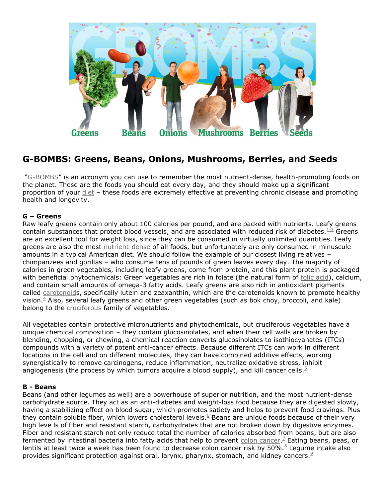

# **G-BOMBS: Greens, Beans, Onions, Mushrooms, Berries, and Seeds**

"G-BOMBS" is an acronym you can use to remember the most nutrient-dense, health-promoting foods on the planet. These are the foods you should eat every day, and they should make up a significant proportion of your diet – these foods are extremely effective at preventing chronic disease and promoting health and longevity.

#### **G – Greens**

Raw leafy greens contain only about 100 calories per pound, and are packed with nutrients. Leafy greens contain substances that protect blood vessels, and are associated with reduced risk of diabetes. $1-3$  Greens are an excellent tool for weight loss, since they can be consumed in virtually unlimited quantities. Leafy greens are also the most nutrient-dense of all foods, but unfortunately are only consumed in minuscule amounts in a typical American diet. We should follow the example of our closest living relatives – chimpanzees and gorillas – who consume tens of pounds of green leaves every day. The majority of calories in green vegetables, including leafy greens, come from protein, and this plant protein is packaged with beneficial phytochemicals: Green vegetables are rich in folate (the natural form of folic acid), calcium, and contain small amounts of omega-3 fatty acids. Leafy greens are also rich in antioxidant pigments called carotenoids, specifically lutein and zeaxanthin, which are the carotenoids known to promote healthy vision. $4$  Also, several leafy greens and other green vegetables (such as bok choy, broccoli, and kale) belong to the cruciferous family of vegetables.

All vegetables contain protective micronutrients and phytochemicals, but cruciferous vegetables have a unique chemical composition – they contain glucosinolates, and when their cell walls are broken by blending, chopping, or chewing, a chemical reaction converts glucosinolates to isothiocyanates (ITCs) – compounds with a variety of potent anti-cancer effects. Because different ITCs can work in different locations in the cell and on different molecules, they can have combined additive effects, working synergistically to remove carcinogens, reduce inflammation, neutralize oxidative stress, inhibit angiogenesis (the process by which tumors acquire a blood supply), and kill cancer cells.<sup>5</sup>

#### **B - Beans**

Beans (and other legumes as well) are a powerhouse of superior nutrition, and the most nutrient-dense carbohydrate source. They act as an anti-diabetes and weight-loss food because they are digested slowly, having a stabilizing effect on blood sugar, which promotes satiety and helps to prevent food cravings. Plus they contain soluble fiber, which lowers cholesterol levels. $6$  Beans are unique foods because of their very high leve ls of fiber and resistant starch, carbohydrates that are not broken down by digestive enzymes. Fiber and resistant starch not only reduce total the number of calories absorbed from beans, but are also fermented by intestinal bacteria into fatty acids that help to prevent colon cancer.<sup>7</sup> Eating beans, peas, or lentils at least twice a week has been found to decrease colon cancer risk by 50%.<sup>8</sup> Legume intake also provides significant protection against oral, larynx, pharynx, stomach, and kidney cancers. $9$